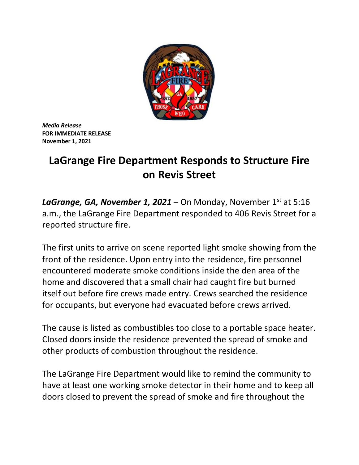

*Media Release* **FOR IMMEDIATE RELEASE November 1, 2021**

## **LaGrange Fire Department Responds to Structure Fire on Revis Street**

**LaGrange, GA, November 1, 2021** – On Monday, November  $1^{st}$  at 5:16 a.m., the LaGrange Fire Department responded to 406 Revis Street for a reported structure fire.

The first units to arrive on scene reported light smoke showing from the front of the residence. Upon entry into the residence, fire personnel encountered moderate smoke conditions inside the den area of the home and discovered that a small chair had caught fire but burned itself out before fire crews made entry. Crews searched the residence for occupants, but everyone had evacuated before crews arrived.

The cause is listed as combustibles too close to a portable space heater. Closed doors inside the residence prevented the spread of smoke and other products of combustion throughout the residence.

The LaGrange Fire Department would like to remind the community to have at least one working smoke detector in their home and to keep all doors closed to prevent the spread of smoke and fire throughout the